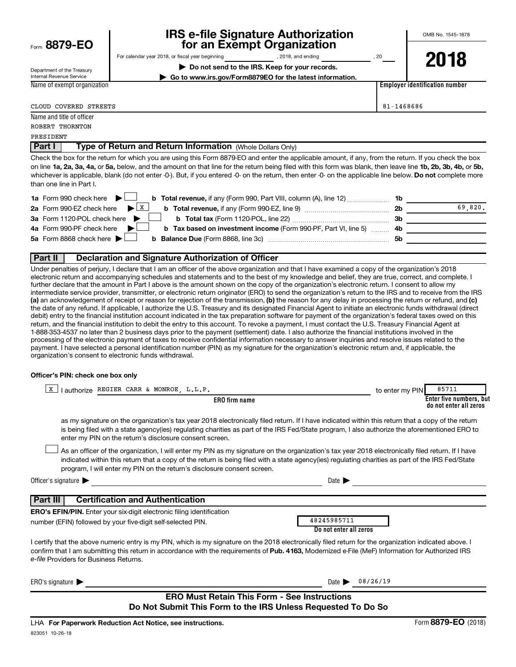| Form 8879-EO |
|--------------|
|--------------|

# **IRS e-file Signature Authorization**<br>**687 for an Exempt Organization**

**| Do not send to the IRS. Keep for your records. | Go to www.irs.gov/Form8879EO for the latest information.**

For calendar year 2018, or fiscal year beginning and the set of 10.18, and ending contact the set of 20

Department of the Treasury Internal Revenue Service Name of exempt organization **2018**

**Employer identification number**

| COVERED<br>STREETS<br>CLOUD | $81 - 1468686$<br>$\circ$ o o c |
|-----------------------------|---------------------------------|
|                             |                                 |

| Name and title of officer                                                   |  |
|-----------------------------------------------------------------------------|--|
| ROBERT THORNTON                                                             |  |
| PRESIDENT                                                                   |  |
| Part I<br><b>Type of Return and Return Information</b> (Whole Dollars Only) |  |

on line 1a, 2a, 3a, 4a, or 5a, below, and the amount on that line for the return being filed with this form was blank, then leave line 1b, 2b, 3b, 4b, or 5b, whichever is applicable, blank (do not enter -0-). But, if you entered -0- on the return, then enter -0- on the applicable line below. **Do not** complete more Check the box for the return for which you are using this Form 8879-EO and enter the applicable amount, if any, from the return. If you check the box than one line in Part I.

| 1a Form 990 check here $\blacktriangleright$<br><b>b</b> Total revenue, if any (Form 990, Part VIII, column (A), line 12)           | 1b |         |
|-------------------------------------------------------------------------------------------------------------------------------------|----|---------|
| 2a Form 990-EZ check here $\blacktriangleright$ $\lfloor x \rfloor$<br><b>b</b> Total revenue, if any (Form 990-EZ, line 9) <i></i> | 2b | 69.820. |
| 3a Form 1120-POL check here                                                                                                         | Зb |         |
| 4a Form 990-PF check here<br><b>b</b> Tax based on investment income (Form 990-PF, Part VI, line 5) 4b                              |    |         |
| 5a Form 8868 check here $\blacktriangleright$                                                                                       | 5b |         |
|                                                                                                                                     |    |         |

### **Part II Declaration and Signature Authorization of Officer**

(a) an acknowledgement of receipt or reason for rejection of the transmission, (b) the reason for any delay in processing the return or refund, and (c) Under penalties of perjury, I declare that I am an officer of the above organization and that I have examined a copy of the organization's 2018 electronic return and accompanying schedules and statements and to the best of my knowledge and belief, they are true, correct, and complete. I further declare that the amount in Part I above is the amount shown on the copy of the organization's electronic return. I consent to allow my intermediate service provider, transmitter, or electronic return originator (ERO) to send the organization's return to the IRS and to receive from the IRS the date of any refund. If applicable, I authorize the U.S. Treasury and its designated Financial Agent to initiate an electronic funds withdrawal (direct debit) entry to the financial institution account indicated in the tax preparation software for payment of the organization's federal taxes owed on this return, and the financial institution to debit the entry to this account. To revoke a payment, I must contact the U.S. Treasury Financial Agent at 1-888-353-4537 no later than 2 business days prior to the payment (settlement) date. I also authorize the financial institutions involved in the processing of the electronic payment of taxes to receive confidential information necessary to answer inquiries and resolve issues related to the payment. I have selected a personal identification number (PIN) as my signature for the organization's electronic return and, if applicable, the organization's consent to electronic funds withdrawal.

#### **Officer's PIN: check one box only**

| lauthorize REGIER CARR & MONROE, L.L.P.<br>X                                                                                                                                                                                                                                                                                                                                     | 85711<br>to enter my PIN                          |
|----------------------------------------------------------------------------------------------------------------------------------------------------------------------------------------------------------------------------------------------------------------------------------------------------------------------------------------------------------------------------------|---------------------------------------------------|
| <b>ERO</b> firm name                                                                                                                                                                                                                                                                                                                                                             | Enter five numbers, but<br>do not enter all zeros |
| as my signature on the organization's tax year 2018 electronically filed return. If I have indicated within this return that a copy of the return<br>is being filed with a state agency(ies) regulating charities as part of the IRS Fed/State program, I also authorize the aforementioned ERO to<br>enter my PIN on the return's disclosure consent screen.                    |                                                   |
| As an officer of the organization, I will enter my PIN as my signature on the organization's tax year 2018 electronically filed return. If I have<br>indicated within this return that a copy of the return is being filed with a state agency(ies) regulating charities as part of the IRS Fed/State<br>program, I will enter my PIN on the return's disclosure consent screen. |                                                   |
| Officer's signature<br>Date 1                                                                                                                                                                                                                                                                                                                                                    |                                                   |
| <b>Certification and Authentication</b><br>Part III                                                                                                                                                                                                                                                                                                                              |                                                   |
| <b>ERO's EFIN/PIN.</b> Enter your six-digit electronic filing identification<br>48245985711<br>number (EFIN) followed by your five-digit self-selected PIN.                                                                                                                                                                                                                      |                                                   |
| Do not enter all zeros                                                                                                                                                                                                                                                                                                                                                           |                                                   |
| I certify that the above numeric entry is my PIN, which is my signature on the 2018 electronically filed return for the organization indicated above. I<br>confirm that I am submitting this return in accordance with the requirements of Pub. 4163, Modernized e-File (MeF) Information for Authorized IRS<br>e-file Providers for Business Returns.                           |                                                   |
| ERO's signature $\blacksquare$<br>Date $\blacktriangleright$                                                                                                                                                                                                                                                                                                                     | 08/26/19                                          |
| <b>ERO Must Retain This Form - See Instructions</b><br>Do Not Submit This Form to the IRS Unless Requested To Do So                                                                                                                                                                                                                                                              |                                                   |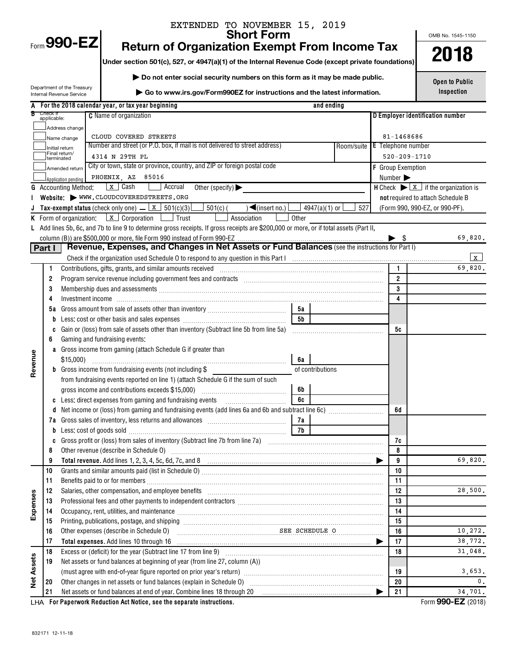# EXTENDED TO NOVEMBER 15, 2019<br>Short Form

Return of Organization Exempt From Income Tax <br> **Short Frame Insection 501(c), 527, or 4947(a)(1) of the Internal Revenue Code (except private foundations) <b>2018** 

**Under section 501(c), 527, or 4947(a)(1) of the Internal Revenue Code (except private foundations)**

**| Do not enter social security numbers on this form as it may be made public.**

Department of the Treasury Internal Revenue Service

**| Go to www.irs.gov/Form990EZ for instructions and the latest information.**

OMB No. 1545-1150

**Open to Public Inspection**

|                   |                         |                             | For the 2018 calendar year, or tax year beginning                                                                                                                                                                              |                  | and ending             |                               |                                                                                 |
|-------------------|-------------------------|-----------------------------|--------------------------------------------------------------------------------------------------------------------------------------------------------------------------------------------------------------------------------|------------------|------------------------|-------------------------------|---------------------------------------------------------------------------------|
|                   | Check if<br>applicable: |                             | <b>C</b> Name of organization                                                                                                                                                                                                  |                  |                        |                               | D Employer identification number                                                |
|                   |                         | Address change              |                                                                                                                                                                                                                                |                  |                        |                               |                                                                                 |
|                   |                         | Name change                 | CLOUD COVERED STREETS                                                                                                                                                                                                          |                  |                        | 81-1468686                    |                                                                                 |
|                   |                         | Initial return              | Number and street (or P.O. box, if mail is not delivered to street address)                                                                                                                                                    |                  |                        | Room/suite E Telephone number |                                                                                 |
|                   |                         | Final return/<br>terminated | 4314 N 29TH PL                                                                                                                                                                                                                 |                  |                        |                               | $520 - 209 - 1710$                                                              |
|                   |                         | Amended return              | City or town, state or province, country, and ZIP or foreign postal code                                                                                                                                                       |                  |                        | F Group Exemption             |                                                                                 |
|                   |                         | Application pending         | PHOENIX, AZ 85016                                                                                                                                                                                                              |                  |                        | Number $\blacktriangleright$  |                                                                                 |
|                   |                         | <b>G</b> Accounting Method: | x Cash<br>Accrual<br>Other (specify) $\blacktriangleright$                                                                                                                                                                     |                  |                        |                               | <b>H</b> Check $\blacktriangleright$ $\lfloor x \rfloor$ if the organization is |
|                   |                         |                             | Website: WWW.CLOUDCOVEREDSTREETS.ORG                                                                                                                                                                                           |                  |                        |                               | not required to attach Schedule B                                               |
|                   |                         |                             | Tax-exempt status (check only one) $\frac{\mathbf{x}}{s}$ 501(c)(3)<br>$501(c)$ (<br>$\sqrt{\frac{2}{\pi}}$ (insert no.)                                                                                                       |                  | $4947(a)(1)$ or<br>527 |                               | (Form 990, 990-EZ, or 990-PF).                                                  |
|                   |                         |                             | <b>K</b> Form of organization: $\boxed{x}$ Corporation $\boxed{\phantom{a}}$ Trust<br>Association                                                                                                                              | Other            |                        |                               |                                                                                 |
|                   |                         |                             | L Add lines 5b, 6c, and 7b to line 9 to determine gross receipts. If gross receipts are \$200,000 or more, or if total assets (Part II,                                                                                        |                  |                        |                               |                                                                                 |
|                   |                         |                             |                                                                                                                                                                                                                                |                  |                        | - \$                          | 69,820.                                                                         |
|                   | Part I                  |                             | Revenue, Expenses, and Changes in Net Assets or Fund Balances (see the instructions for Part I)                                                                                                                                |                  |                        |                               |                                                                                 |
|                   |                         |                             |                                                                                                                                                                                                                                |                  |                        |                               | $\mathbf{x}$                                                                    |
|                   | $\mathbf{1}$            |                             | Contributions, gifts, grants, and similar amounts received manufactured contributions, gifts, grants, and similar amounts received                                                                                             |                  |                        | $\mathbf{1}$                  | 69,820.                                                                         |
|                   | $\overline{2}$          |                             | Program service revenue including government fees and contracts [11] matter contracts and contracts and contracts and contracts and contracts and contracts and services are produced as $P$                                   |                  |                        | $\overline{2}$                |                                                                                 |
|                   | 3                       |                             |                                                                                                                                                                                                                                |                  |                        | 3                             |                                                                                 |
|                   | 4                       |                             |                                                                                                                                                                                                                                |                  |                        | 4                             |                                                                                 |
|                   | 5a                      |                             |                                                                                                                                                                                                                                | 5а               |                        |                               |                                                                                 |
|                   | D                       |                             |                                                                                                                                                                                                                                | 5b               |                        |                               |                                                                                 |
|                   | C                       |                             | Gain or (loss) from sale of assets other than inventory (Subtract line 5b from line 5a)                                                                                                                                        |                  |                        | 5с                            |                                                                                 |
|                   | 6                       |                             | Gaming and fundraising events:                                                                                                                                                                                                 |                  |                        |                               |                                                                                 |
|                   | a                       |                             | Gross income from gaming (attach Schedule G if greater than                                                                                                                                                                    |                  |                        |                               |                                                                                 |
| Revenue           |                         | $$15,000$ )                 |                                                                                                                                                                                                                                | 6а               |                        |                               |                                                                                 |
|                   |                         |                             | <b>b</b> Gross income from fundraising events (not including \$                                                                                                                                                                | of contributions |                        |                               |                                                                                 |
|                   |                         |                             | from fundraising events reported on line 1) (attach Schedule G if the sum of such                                                                                                                                              |                  |                        |                               |                                                                                 |
|                   |                         |                             | gross income and contributions exceeds \$15,000)                                                                                                                                                                               | 6b               |                        |                               |                                                                                 |
|                   | C                       |                             | Less: direct expenses from gaming and fundraising events                                                                                                                                                                       | 6c               |                        |                               |                                                                                 |
|                   |                         |                             | Net income or (loss) from gaming and fundraising events (add lines 6a and 6b and subtract line 6c) [[[[[[[[[[                                                                                                                  |                  |                        | 6d                            |                                                                                 |
|                   | 7a                      |                             |                                                                                                                                                                                                                                | 7a               |                        |                               |                                                                                 |
|                   | b                       |                             |                                                                                                                                                                                                                                | 7b               |                        |                               |                                                                                 |
|                   | C                       |                             |                                                                                                                                                                                                                                |                  |                        | 7c                            |                                                                                 |
|                   | 8                       |                             | Other revenue (describe in Schedule O)                                                                                                                                                                                         |                  |                        | 8                             |                                                                                 |
|                   | 9                       |                             |                                                                                                                                                                                                                                |                  |                        | 9                             | 69,820.                                                                         |
|                   | 10<br>11                |                             |                                                                                                                                                                                                                                |                  |                        | 10                            |                                                                                 |
|                   | 12                      |                             | Salaries, other compensation, and employee benefits                                                                                                                                                                            |                  |                        | 11<br>12                      | 28,500.                                                                         |
| Expenses          | 13                      |                             | Professional fees and other payments to independent contractors [11] [11] professional fees and other payments to independent contractors [11] professional fees and other payments to independent contractors [11] profession |                  |                        | 13                            |                                                                                 |
|                   | 14                      |                             | Occupancy, rent, utilities, and maintenance manufactured and contain an according to the manufacture of the ma                                                                                                                 |                  |                        | 14                            |                                                                                 |
|                   | 15                      |                             |                                                                                                                                                                                                                                |                  |                        | 15                            |                                                                                 |
|                   | 16                      |                             | Other expenses (describe in Schedule O)<br>SEE SCHEDULE O                                                                                                                                                                      |                  |                        | 16                            | 10,272.                                                                         |
|                   | 17                      |                             | Total expenses. Add lines 10 through 16                                                                                                                                                                                        |                  |                        | 17                            | 38,772.                                                                         |
|                   | 18                      |                             | Excess or (deficit) for the year (Subtract line 17 from line 9)                                                                                                                                                                |                  |                        | 18                            | 31,048.                                                                         |
| <b>Net Assets</b> | 19                      |                             | Net assets or fund balances at beginning of year (from line 27, column (A))                                                                                                                                                    |                  |                        |                               |                                                                                 |
|                   |                         |                             |                                                                                                                                                                                                                                |                  |                        | 19                            | 3,653.                                                                          |
|                   | 20                      |                             | Other changes in net assets or fund balances (explain in Schedule O)                                                                                                                                                           |                  |                        | 20                            |                                                                                 |
|                   | 21                      |                             | Net assets or fund balances at end of year. Combine lines 18 through 20                                                                                                                                                        |                  |                        | 21                            | 34,701.                                                                         |
|                   |                         |                             |                                                                                                                                                                                                                                |                  |                        |                               |                                                                                 |

**For Paperwork Reduction Act Notice, see the separate instructions.** LHA Form (2018)

**990-EZ**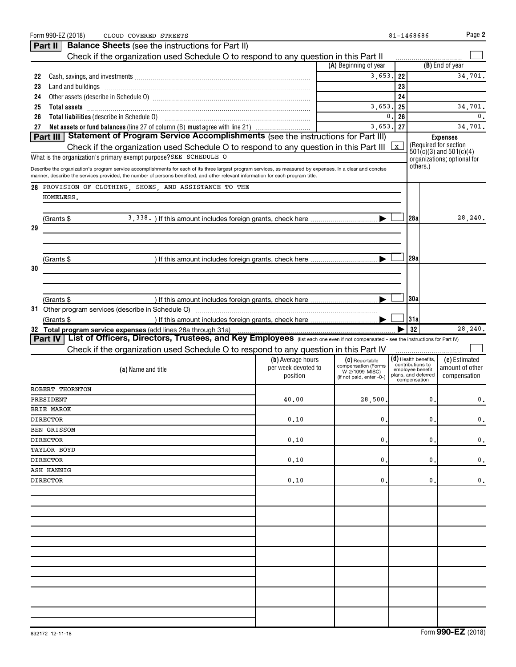|    | Form 990-EZ (2018)<br>CLOUD COVERED STREETS                                                                                                                 |                                          |                                            |    | 81-1468686                                 | Page 2                                               |
|----|-------------------------------------------------------------------------------------------------------------------------------------------------------------|------------------------------------------|--------------------------------------------|----|--------------------------------------------|------------------------------------------------------|
|    | <b>Balance Sheets</b> (see the instructions for Part II)<br>Part II                                                                                         |                                          |                                            |    |                                            |                                                      |
|    | Check if the organization used Schedule O to respond to any question in this Part II                                                                        |                                          |                                            |    |                                            |                                                      |
|    |                                                                                                                                                             |                                          | (A) Beginning of year                      |    |                                            | (B) End of year                                      |
| 22 |                                                                                                                                                             |                                          | 3,653.                                     | 22 |                                            | 34,701.                                              |
| 23 |                                                                                                                                                             |                                          |                                            | 23 |                                            |                                                      |
| 24 |                                                                                                                                                             |                                          |                                            | 24 |                                            |                                                      |
| 25 | Total assets <b>communications</b> and assets <b>and assets communications continued assets communications</b>                                              |                                          | 3,653.                                     | 25 |                                            | 34,701.                                              |
| 26 |                                                                                                                                                             |                                          | 0                                          | 26 |                                            | 0.                                                   |
| 27 | Net assets or fund balances (line 27 of column (B) must agree with line 21)                                                                                 |                                          | 3,653.                                     | 27 |                                            | 34,701.                                              |
|    | Part III   Statement of Program Service Accomplishments (see the instructions for Part III)                                                                 |                                          |                                            |    |                                            | <b>Expenses</b>                                      |
|    | Check if the organization used Schedule O to respond to any question in this Part III $\angle x$                                                            |                                          |                                            |    |                                            | (Required for section<br>$501(c)(3)$ and $501(c)(4)$ |
|    | What is the organization's primary exempt purpose?SEE SCHEDULE O                                                                                            |                                          |                                            |    |                                            | organizations; optional for                          |
|    | Describe the organization's program service accomplishments for each of its three largest program services, as measured by expenses. In a clear and concise |                                          |                                            |    | others.)                                   |                                                      |
|    | manner, describe the services provided, the number of persons benefited, and other relevant information for each program title.                             |                                          |                                            |    |                                            |                                                      |
|    | 28 PROVISION OF CLOTHING, SHOES, AND ASSISTANCE TO THE                                                                                                      |                                          |                                            |    |                                            |                                                      |
|    | HOMELESS.                                                                                                                                                   |                                          |                                            |    |                                            |                                                      |
|    |                                                                                                                                                             |                                          |                                            |    |                                            |                                                      |
|    | (Grants \$                                                                                                                                                  |                                          |                                            |    | l 28al                                     | 28, 240.                                             |
| 29 |                                                                                                                                                             |                                          |                                            |    |                                            |                                                      |
|    |                                                                                                                                                             |                                          |                                            |    |                                            |                                                      |
|    |                                                                                                                                                             |                                          |                                            |    |                                            |                                                      |
|    | (Grants \$                                                                                                                                                  |                                          |                                            |    | 29a                                        |                                                      |
| 30 |                                                                                                                                                             |                                          |                                            |    |                                            |                                                      |
|    |                                                                                                                                                             |                                          |                                            |    |                                            |                                                      |
|    |                                                                                                                                                             |                                          |                                            |    |                                            |                                                      |
|    | (Grants \$                                                                                                                                                  |                                          |                                            |    | 30a                                        |                                                      |
|    |                                                                                                                                                             |                                          |                                            |    |                                            |                                                      |
|    |                                                                                                                                                             |                                          |                                            |    | 31a                                        |                                                      |
|    | (Grants \$                                                                                                                                                  |                                          |                                            |    |                                            |                                                      |
|    | 32 Total program service expenses (add lines 28a through 31a)                                                                                               |                                          |                                            |    | 32                                         | 28,240.                                              |
|    | Part IV   List of Officers, Directors, Trustees, and Key Employees (list each one even if not compensated - see the instructions for Part IV)               |                                          |                                            |    |                                            |                                                      |
|    | Check if the organization used Schedule O to respond to any question in this Part IV                                                                        |                                          |                                            |    |                                            |                                                      |
|    |                                                                                                                                                             | (b) Average hours<br>per week devoted to | (C) Reportable<br>compensation (Forms      |    | $(d)$ Health benefits,<br>contributions to | (e) Estimated<br>amount of other                     |
|    | (a) Name and title                                                                                                                                          | position                                 | W-2/1099-MISC)<br>(if not paid, enter -0-) |    | employee benefit<br>plans, and deferred    | compensation                                         |
|    | ROBERT THORNTON                                                                                                                                             |                                          |                                            |    | compensation                               |                                                      |
|    |                                                                                                                                                             |                                          |                                            |    |                                            |                                                      |
|    | PRESIDENT                                                                                                                                                   | 40.00                                    | 28,500.                                    |    | $\mathbf 0$ .                              | 0.                                                   |
|    | <b>BRIE MAROK</b><br><b>DIRECTOR</b>                                                                                                                        | 0.10                                     | 0.                                         |    | 0                                          | 0.                                                   |
|    | BEN GRISSOM                                                                                                                                                 |                                          |                                            |    |                                            |                                                      |
|    | <b>DIRECTOR</b>                                                                                                                                             | 0.10                                     | 0.                                         |    | 0                                          | 0.                                                   |
|    | TAYLOR BOYD                                                                                                                                                 |                                          |                                            |    |                                            |                                                      |
|    | <b>DIRECTOR</b>                                                                                                                                             | 0.10                                     | 0.                                         |    | 0                                          | 0.                                                   |
|    | ASH HANNIG                                                                                                                                                  |                                          |                                            |    |                                            |                                                      |
|    | <b>DIRECTOR</b>                                                                                                                                             | 0.10                                     | 0                                          |    | 0                                          | 0.                                                   |
|    |                                                                                                                                                             |                                          |                                            |    |                                            |                                                      |
|    |                                                                                                                                                             |                                          |                                            |    |                                            |                                                      |
|    |                                                                                                                                                             |                                          |                                            |    |                                            |                                                      |
|    |                                                                                                                                                             |                                          |                                            |    |                                            |                                                      |
|    |                                                                                                                                                             |                                          |                                            |    |                                            |                                                      |
|    |                                                                                                                                                             |                                          |                                            |    |                                            |                                                      |
|    |                                                                                                                                                             |                                          |                                            |    |                                            |                                                      |
|    |                                                                                                                                                             |                                          |                                            |    |                                            |                                                      |
|    |                                                                                                                                                             |                                          |                                            |    |                                            |                                                      |
|    |                                                                                                                                                             |                                          |                                            |    |                                            |                                                      |
|    |                                                                                                                                                             |                                          |                                            |    |                                            |                                                      |
|    |                                                                                                                                                             |                                          |                                            |    |                                            |                                                      |
|    |                                                                                                                                                             |                                          |                                            |    |                                            |                                                      |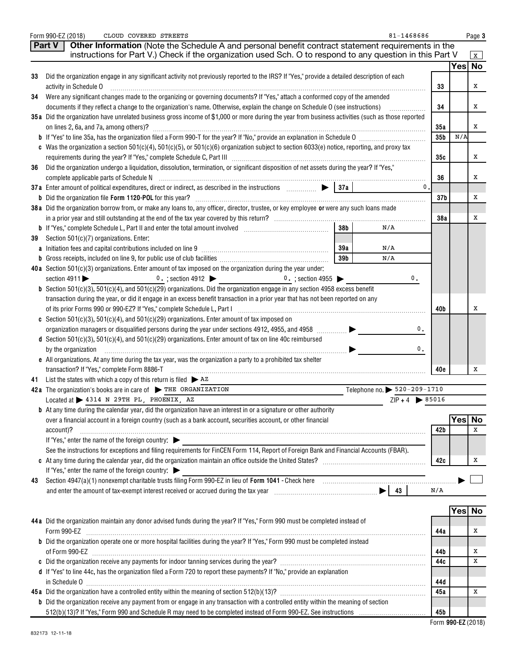|    | 81-1468686<br>Form 990-EZ (2018)<br>CLOUD COVERED STREETS                                                                                                                                                                      |                 |        | Page 3       |
|----|--------------------------------------------------------------------------------------------------------------------------------------------------------------------------------------------------------------------------------|-----------------|--------|--------------|
|    | Other Information (Note the Schedule A and personal benefit contract statement requirements in the<br>Part V                                                                                                                   |                 |        |              |
|    | instructions for Part V.) Check if the organization used Sch. O to respond to any question in this Part V                                                                                                                      |                 |        | $\mathbf{x}$ |
|    |                                                                                                                                                                                                                                |                 | Yes No |              |
| 33 | Did the organization engage in any significant activity not previously reported to the IRS? If "Yes," provide a detailed description of each                                                                                   |                 |        |              |
|    | activity in Schedule O                                                                                                                                                                                                         | 33              |        | х            |
| 34 | Were any significant changes made to the organizing or governing documents? If "Yes," attach a conformed copy of the amended                                                                                                   |                 |        |              |
|    | documents if they reflect a change to the organization's name. Otherwise, explain the change on Schedule O (see instructions)                                                                                                  | 34              |        | x            |
|    | 35a Did the organization have unrelated business gross income of \$1,000 or more during the year from business activities (such as those reported                                                                              |                 |        |              |
|    | on lines 2, 6a, and 7a, among others)?                                                                                                                                                                                         | 35a             |        | x            |
|    |                                                                                                                                                                                                                                | 35 <sub>b</sub> | N/A    |              |
|    | c Was the organization a section $501(c)(4)$ , $501(c)(5)$ , or $501(c)(6)$ organization subject to section 6033(e) notice, reporting, and proxy tax                                                                           |                 |        | х            |
| 36 | Did the organization undergo a liquidation, dissolution, termination, or significant disposition of net assets during the year? If "Yes,"                                                                                      | 35с             |        |              |
|    |                                                                                                                                                                                                                                | 36              |        | x            |
|    | $\mathbf{0}$ .                                                                                                                                                                                                                 |                 |        |              |
|    |                                                                                                                                                                                                                                | 37 <sub>b</sub> |        | х            |
|    | 38 a Did the organization borrow from, or make any loans to, any officer, director, trustee, or key employee or were any such loans made                                                                                       |                 |        |              |
|    |                                                                                                                                                                                                                                | 38a             |        | х            |
|    | 38 <sub>b</sub><br>N/A                                                                                                                                                                                                         |                 |        |              |
| 39 | Section 501(c)(7) organizations. Enter:                                                                                                                                                                                        |                 |        |              |
|    | 39a<br>N/A                                                                                                                                                                                                                     |                 |        |              |
|    | 39 <sub>b</sub><br>N/A                                                                                                                                                                                                         |                 |        |              |
|    | 40a Section 501(c)(3) organizations. Enter amount of tax imposed on the organization during the year under:                                                                                                                    |                 |        |              |
|    | section $4911$<br>0.; section 4912 $\bullet$ 0.; section 4955 $\bullet$<br>0.                                                                                                                                                  |                 |        |              |
|    | <b>b</b> Section 501(c)(3), 501(c)(4), and 501(c)(29) organizations. Did the organization engage in any section 4958 excess benefit                                                                                            |                 |        |              |
|    | transaction during the year, or did it engage in an excess benefit transaction in a prior year that has not been reported on any                                                                                               |                 |        |              |
|    | of its prior Forms 990 or 990-EZ? If "Yes," complete Schedule L, Part I [11] [12] [20] [20] [20] [20] [20] [20                                                                                                                 | 40b             |        | х            |
|    | c Section 501(c)(3), 501(c)(4), and 501(c)(29) organizations. Enter amount of tax imposed on                                                                                                                                   |                 |        |              |
|    | organization managers or disqualified persons during the year under sections 4912, 4955, and 4958<br>0.                                                                                                                        |                 |        |              |
|    | d Section 501(c)(3), 501(c)(4), and 501(c)(29) organizations. Enter amount of tax on line 40c reimbursed<br>0.                                                                                                                 |                 |        |              |
|    | by the organization<br>e All organizations. At any time during the tax year, was the organization a party to a prohibited tax shelter                                                                                          |                 |        |              |
|    |                                                                                                                                                                                                                                | 40e             |        | х            |
|    | 41 List the states with which a copy of this return is filed $\triangleright$ AZ                                                                                                                                               |                 |        |              |
|    | Telephone no. > 520-209-1710<br>42a The organization's books are in care of THE ORGANIZATION                                                                                                                                   |                 |        |              |
|    | Located at > 4314 N 29TH PL, PHOENIX, AZ<br>$ZIP + 4$ $\triangleright$ 85016                                                                                                                                                   |                 |        |              |
|    | <b>b</b> At any time during the calendar year, did the organization have an interest in or a signature or other authority                                                                                                      |                 |        |              |
|    | over a financial account in a foreign country (such as a bank account, securities account, or other financial                                                                                                                  |                 | Yes No |              |
|    | account)?                                                                                                                                                                                                                      | 42 b            |        | x            |
|    | If "Yes," enter the name of the foreign country:                                                                                                                                                                               |                 |        |              |
|    | See the instructions for exceptions and filing requirements for FinCEN Form 114, Report of Foreign Bank and Financial Accounts (FBAR).                                                                                         |                 |        |              |
|    |                                                                                                                                                                                                                                | 42c             |        | х            |
|    | If "Yes," enter the name of the foreign country:                                                                                                                                                                               |                 |        |              |
| 43 | Section 4947(a)(1) nonexempt charitable trusts filing Form 990-EZ in lieu of Form 1041 - Check here manufactured and the manufactured with the section 4947(a)(1) nonexempt charitable trusts filing Form 990-EZ in lieu of Fo |                 |        |              |
|    |                                                                                                                                                                                                                                | N/A             |        |              |
|    |                                                                                                                                                                                                                                |                 | Yes No |              |
|    | 44 a Did the organization maintain any donor advised funds during the year? If "Yes," Form 990 must be completed instead of                                                                                                    |                 |        |              |
|    | Form 990-EZ                                                                                                                                                                                                                    | 44a             |        | Χ            |
|    | <b>b</b> Did the organization operate one or more hospital facilities during the year? If "Yes," Form 990 must be completed instead                                                                                            |                 |        |              |
|    |                                                                                                                                                                                                                                | 44 b            |        | Х            |
|    |                                                                                                                                                                                                                                | 44c             |        | Х            |
|    | d If "Yes" to line 44c, has the organization filed a Form 720 to report these payments? If "No," provide an explanation                                                                                                        |                 |        |              |
|    |                                                                                                                                                                                                                                | 44 d            |        |              |
|    |                                                                                                                                                                                                                                | 45a             |        | Χ            |
|    | <b>b</b> Did the organization receive any payment from or engage in any transaction with a controlled entity within the meaning of section                                                                                     |                 |        |              |
|    |                                                                                                                                                                                                                                | 45b             |        |              |
|    |                                                                                                                                                                                                                                |                 |        |              |

 **990-EZ** Form (2018)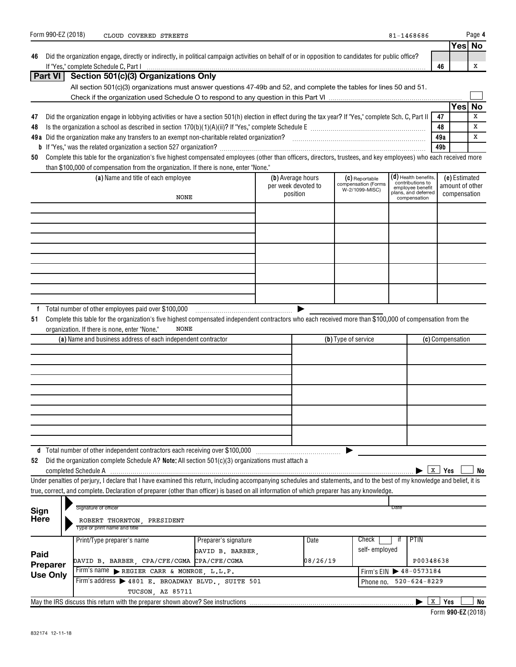|                     |                 | Form 990-EZ (2018) | CLOUD COVERED STREETS                                                                                                                                                      |                      |                     |          |                                       | 81-1468686                                 |                     |                  | Page 4    |
|---------------------|-----------------|--------------------|----------------------------------------------------------------------------------------------------------------------------------------------------------------------------|----------------------|---------------------|----------|---------------------------------------|--------------------------------------------|---------------------|------------------|-----------|
|                     |                 |                    |                                                                                                                                                                            |                      |                     |          |                                       |                                            |                     |                  | Yes No    |
| 46                  |                 |                    | Did the organization engage, directly or indirectly, in political campaign activities on behalf of or in opposition to candidates for public office?                       |                      |                     |          |                                       |                                            |                     |                  |           |
|                     | Part VI         |                    |                                                                                                                                                                            |                      |                     |          |                                       |                                            | 46                  |                  | х         |
|                     |                 |                    | Section 501(c)(3) Organizations Only<br>All section 501(c)(3) organizations must answer questions 47-49b and 52, and complete the tables for lines 50 and 51.              |                      |                     |          |                                       |                                            |                     |                  |           |
|                     |                 |                    |                                                                                                                                                                            |                      |                     |          |                                       |                                            |                     |                  |           |
|                     |                 |                    |                                                                                                                                                                            |                      |                     |          |                                       |                                            |                     | Yes              | <b>No</b> |
| 47                  |                 |                    | Did the organization engage in lobbying activities or have a section 501(h) election in effect during the tax year? If "Yes," complete Sch. C, Part II                     |                      |                     |          |                                       |                                            | 47                  |                  | X         |
| 48                  |                 |                    |                                                                                                                                                                            |                      |                     |          |                                       |                                            | 48                  |                  | х         |
|                     |                 |                    |                                                                                                                                                                            |                      |                     |          |                                       |                                            | 49a                 |                  | х         |
|                     |                 |                    |                                                                                                                                                                            |                      |                     |          |                                       |                                            | 49b                 |                  |           |
| 50                  |                 |                    | Complete this table for the organization's five highest compensated employees (other than officers, directors, trustees, and key employees) who each received more         |                      |                     |          |                                       |                                            |                     |                  |           |
|                     |                 |                    | than \$100,000 of compensation from the organization. If there is none, enter "None."                                                                                      |                      |                     |          |                                       |                                            |                     |                  |           |
|                     |                 |                    | (a) Name and title of each employee                                                                                                                                        |                      | (b) Average hours   |          | (C) Reportable                        | $(d)$ Health benefits,<br>contributions to |                     | (e) Estimated    |           |
|                     |                 |                    |                                                                                                                                                                            |                      | per week devoted to |          | compensation (Forms<br>W-2/1099-MISC) | employee benefit<br>plans, and deferred    |                     | amount of other  |           |
|                     |                 |                    | NONE                                                                                                                                                                       |                      | position            |          |                                       | compensation                               |                     | compensation     |           |
|                     |                 |                    |                                                                                                                                                                            |                      |                     |          |                                       |                                            |                     |                  |           |
|                     |                 |                    |                                                                                                                                                                            |                      |                     |          |                                       |                                            |                     |                  |           |
|                     |                 |                    |                                                                                                                                                                            |                      |                     |          |                                       |                                            |                     |                  |           |
|                     |                 |                    |                                                                                                                                                                            |                      |                     |          |                                       |                                            |                     |                  |           |
|                     |                 |                    |                                                                                                                                                                            |                      |                     |          |                                       |                                            |                     |                  |           |
|                     |                 |                    |                                                                                                                                                                            |                      |                     |          |                                       |                                            |                     |                  |           |
|                     |                 |                    |                                                                                                                                                                            |                      |                     |          |                                       |                                            |                     |                  |           |
|                     |                 |                    |                                                                                                                                                                            |                      |                     |          |                                       |                                            |                     |                  |           |
|                     |                 |                    |                                                                                                                                                                            |                      |                     |          |                                       |                                            |                     |                  |           |
|                     |                 |                    | Total number of other employees paid over \$100,000                                                                                                                        |                      |                     |          |                                       |                                            |                     |                  |           |
| f<br>51             |                 |                    | Complete this table for the organization's five highest compensated independent contractors who each received more than \$100,000 of compensation from the                 |                      |                     |          |                                       |                                            |                     |                  |           |
|                     |                 |                    | <b>NONE</b><br>organization. If there is none, enter "None."                                                                                                               |                      |                     |          |                                       |                                            |                     |                  |           |
|                     |                 |                    | (a) Name and business address of each independent contractor                                                                                                               |                      |                     |          | (b) Type of service                   |                                            |                     | (c) Compensation |           |
|                     |                 |                    |                                                                                                                                                                            |                      |                     |          |                                       |                                            |                     |                  |           |
|                     |                 |                    |                                                                                                                                                                            |                      |                     |          |                                       |                                            |                     |                  |           |
|                     |                 |                    |                                                                                                                                                                            |                      |                     |          |                                       |                                            |                     |                  |           |
|                     |                 |                    |                                                                                                                                                                            |                      |                     |          |                                       |                                            |                     |                  |           |
|                     |                 |                    |                                                                                                                                                                            |                      |                     |          |                                       |                                            |                     |                  |           |
|                     |                 |                    |                                                                                                                                                                            |                      |                     |          |                                       |                                            |                     |                  |           |
|                     |                 |                    |                                                                                                                                                                            |                      |                     |          |                                       |                                            |                     |                  |           |
|                     |                 |                    |                                                                                                                                                                            |                      |                     |          |                                       |                                            |                     |                  |           |
|                     |                 |                    |                                                                                                                                                                            |                      |                     |          |                                       |                                            |                     |                  |           |
|                     |                 |                    |                                                                                                                                                                            |                      |                     |          |                                       |                                            |                     |                  |           |
|                     |                 |                    |                                                                                                                                                                            |                      |                     |          |                                       |                                            |                     |                  |           |
| 52                  |                 |                    | Did the organization complete Schedule A? Note: All section $501(c)(3)$ organizations must attach a                                                                        |                      |                     |          |                                       |                                            |                     |                  |           |
|                     |                 |                    |                                                                                                                                                                            |                      |                     |          |                                       |                                            | X<br>Yes            |                  | No        |
|                     |                 |                    | Under penalties of perjury, I declare that I have examined this return, including accompanying schedules and statements, and to the best of my knowledge and belief, it is |                      |                     |          |                                       |                                            |                     |                  |           |
|                     |                 |                    | true, correct, and complete. Declaration of preparer (other than officer) is based on all information of which preparer has any knowledge.                                 |                      |                     |          |                                       |                                            |                     |                  |           |
|                     |                 |                    | Signature of officer                                                                                                                                                       |                      |                     |          |                                       | Date                                       |                     |                  |           |
| Sign<br><b>Here</b> |                 |                    |                                                                                                                                                                            |                      |                     |          |                                       |                                            |                     |                  |           |
|                     |                 |                    | ROBERT THORNTON, PRESIDENT<br>Type or print name and title                                                                                                                 |                      |                     |          |                                       |                                            |                     |                  |           |
|                     |                 |                    | Print/Type preparer's name                                                                                                                                                 | Preparer's signature |                     | Date     | Check                                 | <b>PTIN</b>                                |                     |                  |           |
|                     |                 |                    |                                                                                                                                                                            | DAVID B. BARBER,     |                     |          | self-employed                         |                                            |                     |                  |           |
| Paid                |                 |                    | DAVID B. BARBER, CPA/CFE/CGMA CPA/CFE/CGMA                                                                                                                                 |                      |                     | 08/26/19 |                                       | P00348638                                  |                     |                  |           |
|                     | Preparer        |                    | Firm's name REGIER CARR & MONROE, L.L.P.                                                                                                                                   |                      |                     |          |                                       | Firm's EIN +48-0573184                     |                     |                  |           |
|                     | <b>Use Only</b> |                    | Firm's address > 4801 E. BROADWAY BLVD., SUITE 501                                                                                                                         |                      |                     |          | Phone no.                             | $520 - 624 - 8229$                         |                     |                  |           |
|                     |                 |                    | TUCSON, AZ 85711                                                                                                                                                           |                      |                     |          |                                       |                                            |                     |                  |           |
|                     |                 |                    |                                                                                                                                                                            |                      |                     |          |                                       |                                            | $\mathbf{x}$<br>Yes |                  | No        |
|                     |                 |                    |                                                                                                                                                                            |                      |                     |          |                                       |                                            |                     |                  |           |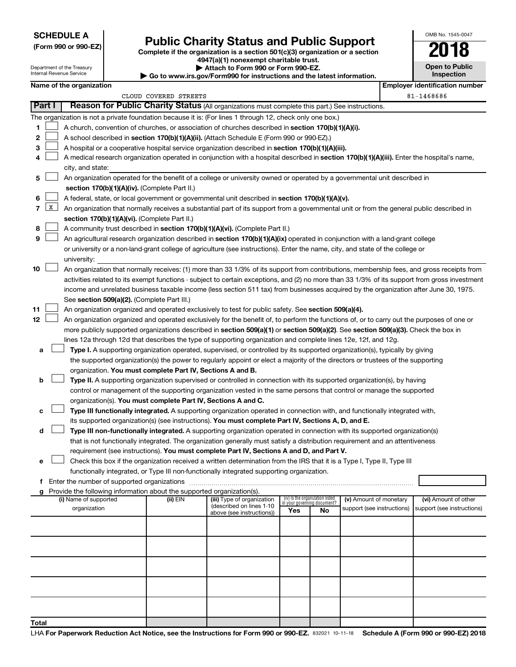## **SCHEDULE A**

Department of the Treasury Internal Revenue Service

# Form 990 or 990-EZ)<br>
Complete if the organization is a section 501(c)(3) organization or a section<br> **Public Charity Status and Public Support**

**4947(a)(1) nonexempt charitable trust.**

**| Attach to Form 990 or Form 990-EZ.** 

**| Go to www.irs.gov/Form990 for instructions and the latest information.**

| OMB No. 1545-0047                   |
|-------------------------------------|
|                                     |
| <b>Open to Public</b><br>Inspection |
|                                     |

|        |                      | Name of the organization                                                                                                                                       |                       |                                                       |                                                                |    |                            |  | <b>Employer identification number</b> |
|--------|----------------------|----------------------------------------------------------------------------------------------------------------------------------------------------------------|-----------------------|-------------------------------------------------------|----------------------------------------------------------------|----|----------------------------|--|---------------------------------------|
|        |                      |                                                                                                                                                                | CLOUD COVERED STREETS |                                                       |                                                                |    |                            |  | 81-1468686                            |
| Part I |                      | Reason for Public Charity Status (All organizations must complete this part.) See instructions.                                                                |                       |                                                       |                                                                |    |                            |  |                                       |
|        |                      | The organization is not a private foundation because it is: (For lines 1 through 12, check only one box.)                                                      |                       |                                                       |                                                                |    |                            |  |                                       |
| 1      |                      | A church, convention of churches, or association of churches described in section 170(b)(1)(A)(i).                                                             |                       |                                                       |                                                                |    |                            |  |                                       |
| 2      |                      | A school described in section 170(b)(1)(A)(ii). (Attach Schedule E (Form 990 or 990-EZ).)                                                                      |                       |                                                       |                                                                |    |                            |  |                                       |
| 3      |                      | A hospital or a cooperative hospital service organization described in section 170(b)(1)(A)(iii).                                                              |                       |                                                       |                                                                |    |                            |  |                                       |
| 4      |                      |                                                                                                                                                                |                       |                                                       |                                                                |    |                            |  |                                       |
|        |                      | A medical research organization operated in conjunction with a hospital described in section 170(b)(1)(A)(iii). Enter the hospital's name,<br>city, and state: |                       |                                                       |                                                                |    |                            |  |                                       |
| 5      |                      | An organization operated for the benefit of a college or university owned or operated by a governmental unit described in                                      |                       |                                                       |                                                                |    |                            |  |                                       |
|        |                      | section 170(b)(1)(A)(iv). (Complete Part II.)                                                                                                                  |                       |                                                       |                                                                |    |                            |  |                                       |
|        |                      |                                                                                                                                                                |                       |                                                       |                                                                |    |                            |  |                                       |
| 6      | $\boxed{\mathbf{X}}$ | A federal, state, or local government or governmental unit described in section 170(b)(1)(A)(v).                                                               |                       |                                                       |                                                                |    |                            |  |                                       |
| 7      |                      | An organization that normally receives a substantial part of its support from a governmental unit or from the general public described in                      |                       |                                                       |                                                                |    |                            |  |                                       |
|        |                      | section 170(b)(1)(A)(vi). (Complete Part II.)                                                                                                                  |                       |                                                       |                                                                |    |                            |  |                                       |
| 8      |                      | A community trust described in section 170(b)(1)(A)(vi). (Complete Part II.)                                                                                   |                       |                                                       |                                                                |    |                            |  |                                       |
| 9      |                      | An agricultural research organization described in section 170(b)(1)(A)(ix) operated in conjunction with a land-grant college                                  |                       |                                                       |                                                                |    |                            |  |                                       |
|        |                      | or university or a non-land-grant college of agriculture (see instructions). Enter the name, city, and state of the college or                                 |                       |                                                       |                                                                |    |                            |  |                                       |
|        |                      | university:                                                                                                                                                    |                       |                                                       |                                                                |    |                            |  |                                       |
| 10     |                      | An organization that normally receives: (1) more than 33 1/3% of its support from contributions, membership fees, and gross receipts from                      |                       |                                                       |                                                                |    |                            |  |                                       |
|        |                      | activities related to its exempt functions - subject to certain exceptions, and (2) no more than 33 1/3% of its support from gross investment                  |                       |                                                       |                                                                |    |                            |  |                                       |
|        |                      | income and unrelated business taxable income (less section 511 tax) from businesses acquired by the organization after June 30, 1975.                          |                       |                                                       |                                                                |    |                            |  |                                       |
|        |                      | See section 509(a)(2). (Complete Part III.)                                                                                                                    |                       |                                                       |                                                                |    |                            |  |                                       |
| 11     |                      | An organization organized and operated exclusively to test for public safety. See section 509(a)(4).                                                           |                       |                                                       |                                                                |    |                            |  |                                       |
| 12     |                      | An organization organized and operated exclusively for the benefit of, to perform the functions of, or to carry out the purposes of one or                     |                       |                                                       |                                                                |    |                            |  |                                       |
|        |                      | more publicly supported organizations described in section 509(a)(1) or section 509(a)(2). See section 509(a)(3). Check the box in                             |                       |                                                       |                                                                |    |                            |  |                                       |
|        |                      | lines 12a through 12d that describes the type of supporting organization and complete lines 12e, 12f, and 12g.                                                 |                       |                                                       |                                                                |    |                            |  |                                       |
| а      |                      | Type I. A supporting organization operated, supervised, or controlled by its supported organization(s), typically by giving                                    |                       |                                                       |                                                                |    |                            |  |                                       |
|        |                      | the supported organization(s) the power to regularly appoint or elect a majority of the directors or trustees of the supporting                                |                       |                                                       |                                                                |    |                            |  |                                       |
|        |                      | organization. You must complete Part IV, Sections A and B.                                                                                                     |                       |                                                       |                                                                |    |                            |  |                                       |
| b      |                      | Type II. A supporting organization supervised or controlled in connection with its supported organization(s), by having                                        |                       |                                                       |                                                                |    |                            |  |                                       |
|        |                      | control or management of the supporting organization vested in the same persons that control or manage the supported                                           |                       |                                                       |                                                                |    |                            |  |                                       |
|        |                      | organization(s). You must complete Part IV, Sections A and C.                                                                                                  |                       |                                                       |                                                                |    |                            |  |                                       |
| с      |                      | Type III functionally integrated. A supporting organization operated in connection with, and functionally integrated with,                                     |                       |                                                       |                                                                |    |                            |  |                                       |
|        |                      | its supported organization(s) (see instructions). You must complete Part IV, Sections A, D, and E.                                                             |                       |                                                       |                                                                |    |                            |  |                                       |
| d      |                      | Type III non-functionally integrated. A supporting organization operated in connection with its supported organization(s)                                      |                       |                                                       |                                                                |    |                            |  |                                       |
|        |                      | that is not functionally integrated. The organization generally must satisfy a distribution requirement and an attentiveness                                   |                       |                                                       |                                                                |    |                            |  |                                       |
|        |                      | requirement (see instructions). You must complete Part IV, Sections A and D, and Part V.                                                                       |                       |                                                       |                                                                |    |                            |  |                                       |
|        |                      | Check this box if the organization received a written determination from the IRS that it is a Type I, Type II, Type III                                        |                       |                                                       |                                                                |    |                            |  |                                       |
|        |                      | functionally integrated, or Type III non-functionally integrated supporting organization.                                                                      |                       |                                                       |                                                                |    |                            |  |                                       |
| f      |                      | Enter the number of supported organizations                                                                                                                    |                       |                                                       |                                                                |    |                            |  |                                       |
|        |                      | g Provide the following information about the supported organization(s).                                                                                       |                       |                                                       |                                                                |    |                            |  |                                       |
|        |                      | (i) Name of supported                                                                                                                                          | (ii) EIN              | (iii) Type of organization                            | (iv) Is the organization listed<br>in your governing document? |    | (v) Amount of monetary     |  | (vi) Amount of other                  |
|        |                      | organization                                                                                                                                                   |                       | (described on lines 1-10<br>above (see instructions)) | Yes                                                            | No | support (see instructions) |  | support (see instructions)            |
|        |                      |                                                                                                                                                                |                       |                                                       |                                                                |    |                            |  |                                       |
|        |                      |                                                                                                                                                                |                       |                                                       |                                                                |    |                            |  |                                       |
|        |                      |                                                                                                                                                                |                       |                                                       |                                                                |    |                            |  |                                       |
|        |                      |                                                                                                                                                                |                       |                                                       |                                                                |    |                            |  |                                       |
|        |                      |                                                                                                                                                                |                       |                                                       |                                                                |    |                            |  |                                       |
|        |                      |                                                                                                                                                                |                       |                                                       |                                                                |    |                            |  |                                       |
|        |                      |                                                                                                                                                                |                       |                                                       |                                                                |    |                            |  |                                       |
|        |                      |                                                                                                                                                                |                       |                                                       |                                                                |    |                            |  |                                       |
|        |                      |                                                                                                                                                                |                       |                                                       |                                                                |    |                            |  |                                       |
|        |                      |                                                                                                                                                                |                       |                                                       |                                                                |    |                            |  |                                       |
| Total  |                      |                                                                                                                                                                |                       |                                                       |                                                                |    |                            |  |                                       |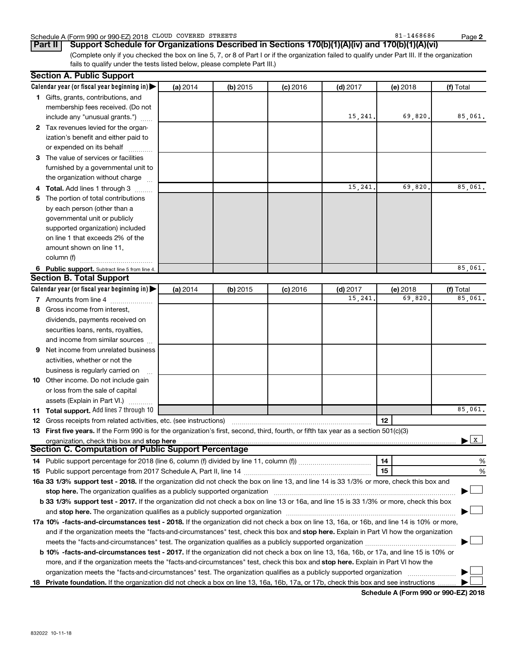| CLOUD<br>COVERED<br>Schedule A (Form 990 or 990-EZ) 2018 | STREETS | O 1<br>1468686<br>ᇰᅩ | Page |  |
|----------------------------------------------------------|---------|----------------------|------|--|
|----------------------------------------------------------|---------|----------------------|------|--|

(Complete only if you checked the box on line 5, 7, or 8 of Part I or if the organization failed to qualify under Part III. If the organization fails to qualify under the tests listed below, please complete Part III.) **Part II Support Schedule for Organizations Described in Sections 170(b)(1)(A)(iv) and 170(b)(1)(A)(vi)**

|     | <b>Section A. Public Support</b>                                                                                                                                                                                               |          |            |            |            |          |           |
|-----|--------------------------------------------------------------------------------------------------------------------------------------------------------------------------------------------------------------------------------|----------|------------|------------|------------|----------|-----------|
|     | Calendar year (or fiscal year beginning in) $\blacktriangleright$                                                                                                                                                              | (a) 2014 | (b) $2015$ | $(c)$ 2016 | $(d)$ 2017 | (e) 2018 | (f) Total |
|     | 1 Gifts, grants, contributions, and                                                                                                                                                                                            |          |            |            |            |          |           |
|     | membership fees received. (Do not                                                                                                                                                                                              |          |            |            |            |          |           |
|     | include any "unusual grants.")                                                                                                                                                                                                 |          |            |            | 15,241.    | 69,820.  | 85,061.   |
|     | 2 Tax revenues levied for the organ-                                                                                                                                                                                           |          |            |            |            |          |           |
|     | ization's benefit and either paid to                                                                                                                                                                                           |          |            |            |            |          |           |
|     | or expended on its behalf                                                                                                                                                                                                      |          |            |            |            |          |           |
|     | 3 The value of services or facilities                                                                                                                                                                                          |          |            |            |            |          |           |
|     | furnished by a governmental unit to                                                                                                                                                                                            |          |            |            |            |          |           |
|     | the organization without charge                                                                                                                                                                                                |          |            |            |            |          |           |
|     | <b>Total.</b> Add lines 1 through 3                                                                                                                                                                                            |          |            |            | 15,241     | 69,820.  | 85,061.   |
| 5   | The portion of total contributions                                                                                                                                                                                             |          |            |            |            |          |           |
|     | by each person (other than a                                                                                                                                                                                                   |          |            |            |            |          |           |
|     | governmental unit or publicly                                                                                                                                                                                                  |          |            |            |            |          |           |
|     | supported organization) included                                                                                                                                                                                               |          |            |            |            |          |           |
|     | on line 1 that exceeds 2% of the                                                                                                                                                                                               |          |            |            |            |          |           |
|     | amount shown on line 11,                                                                                                                                                                                                       |          |            |            |            |          |           |
|     | column (f)                                                                                                                                                                                                                     |          |            |            |            |          |           |
|     | 6 Public support. Subtract line 5 from line 4.                                                                                                                                                                                 |          |            |            |            |          | 85,061.   |
|     | <b>Section B. Total Support</b>                                                                                                                                                                                                |          |            |            |            |          |           |
|     | Calendar year (or fiscal year beginning in) $\blacktriangleright$                                                                                                                                                              | (a) 2014 | (b) 2015   | $(c)$ 2016 | $(d)$ 2017 | (e) 2018 | (f) Total |
|     | 7 Amounts from line 4                                                                                                                                                                                                          |          |            |            | 15,241     | 69,820   | 85,061.   |
| 8   | Gross income from interest,                                                                                                                                                                                                    |          |            |            |            |          |           |
|     | dividends, payments received on                                                                                                                                                                                                |          |            |            |            |          |           |
|     | securities loans, rents, royalties,                                                                                                                                                                                            |          |            |            |            |          |           |
|     | and income from similar sources                                                                                                                                                                                                |          |            |            |            |          |           |
| 9   | Net income from unrelated business                                                                                                                                                                                             |          |            |            |            |          |           |
|     | activities, whether or not the                                                                                                                                                                                                 |          |            |            |            |          |           |
|     | business is regularly carried on                                                                                                                                                                                               |          |            |            |            |          |           |
|     | 10 Other income. Do not include gain                                                                                                                                                                                           |          |            |            |            |          |           |
|     | or loss from the sale of capital                                                                                                                                                                                               |          |            |            |            |          |           |
|     | assets (Explain in Part VI.)                                                                                                                                                                                                   |          |            |            |            |          |           |
| 11. | Total support. Add lines 7 through 10                                                                                                                                                                                          |          |            |            |            |          | 85,061.   |
| 12  | Gross receipts from related activities, etc. (see instructions)                                                                                                                                                                |          |            |            |            | 12       |           |
|     | 13 First five years. If the Form 990 is for the organization's first, second, third, fourth, or fifth tax year as a section 501(c)(3)                                                                                          |          |            |            |            |          |           |
|     | organization, check this box and stop here                                                                                                                                                                                     |          |            |            |            |          | x         |
|     | <b>Section C. Computation of Public Support Percentage</b>                                                                                                                                                                     |          |            |            |            |          |           |
|     |                                                                                                                                                                                                                                |          |            |            |            | 14       | %         |
|     |                                                                                                                                                                                                                                |          |            |            |            | 15       | %         |
|     | 16a 33 1/3% support test - 2018. If the organization did not check the box on line 13, and line 14 is 33 1/3% or more, check this box and                                                                                      |          |            |            |            |          |           |
|     | stop here. The organization qualifies as a publicly supported organization manufaction manufacture or the organization manufacture or the state of the state of the state of the state of the state of the state of the state  |          |            |            |            |          |           |
|     | b 33 1/3% support test - 2017. If the organization did not check a box on line 13 or 16a, and line 15 is 33 1/3% or more, check this box                                                                                       |          |            |            |            |          |           |
|     | and stop here. The organization qualifies as a publicly supported organization [11] manuscription manuscription manuscription manuscription manuscription manuscription and starting and starting and starting and starting an |          |            |            |            |          |           |
|     | 17a 10% -facts-and-circumstances test - 2018. If the organization did not check a box on line 13, 16a, or 16b, and line 14 is 10% or more,                                                                                     |          |            |            |            |          |           |
|     | and if the organization meets the "facts-and-circumstances" test, check this box and stop here. Explain in Part VI how the organization                                                                                        |          |            |            |            |          |           |
|     |                                                                                                                                                                                                                                |          |            |            |            |          |           |
|     | b 10% -facts-and-circumstances test - 2017. If the organization did not check a box on line 13, 16a, 16b, or 17a, and line 15 is 10% or                                                                                        |          |            |            |            |          |           |
|     | more, and if the organization meets the "facts-and-circumstances" test, check this box and stop here. Explain in Part VI how the                                                                                               |          |            |            |            |          |           |
|     | organization meets the "facts-and-circumstances" test. The organization qualifies as a publicly supported organization                                                                                                         |          |            |            |            |          |           |
|     | 18 Private foundation. If the organization did not check a box on line 13, 16a, 16b, 17a, or 17b, check this box and see instructions                                                                                          |          |            |            |            |          |           |

**Schedule A (Form 990 or 990-EZ) 2018**

 $81 - 1468686$ 

**2**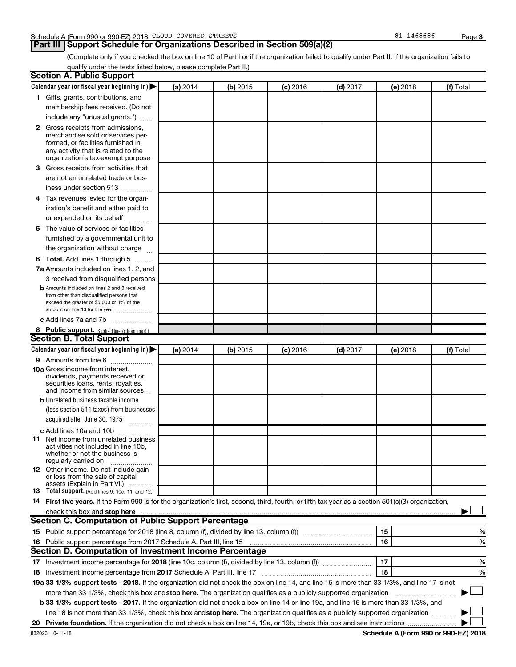## **Part III Support Schedule for Organizations Described in Section 509(a)(2)**

(Complete only if you checked the box on line 10 of Part I or if the organization failed to qualify under Part II. If the organization fails to qualify under the tests listed below, please complete Part II.)

| <b>Section A. Public Support</b>                                                                                                                    |          |          |            |            |          |           |
|-----------------------------------------------------------------------------------------------------------------------------------------------------|----------|----------|------------|------------|----------|-----------|
| Calendar year (or fiscal year beginning in)                                                                                                         | (a) 2014 | (b) 2015 | $(c)$ 2016 | $(d)$ 2017 | (e) 2018 | (f) Total |
| 1 Gifts, grants, contributions, and                                                                                                                 |          |          |            |            |          |           |
| membership fees received. (Do not                                                                                                                   |          |          |            |            |          |           |
| include any "unusual grants.")                                                                                                                      |          |          |            |            |          |           |
| 2 Gross receipts from admissions,                                                                                                                   |          |          |            |            |          |           |
| merchandise sold or services per-                                                                                                                   |          |          |            |            |          |           |
| formed, or facilities furnished in                                                                                                                  |          |          |            |            |          |           |
| any activity that is related to the<br>organization's tax-exempt purpose                                                                            |          |          |            |            |          |           |
| <b>3</b> Gross receipts from activities that                                                                                                        |          |          |            |            |          |           |
| are not an unrelated trade or bus-                                                                                                                  |          |          |            |            |          |           |
|                                                                                                                                                     |          |          |            |            |          |           |
| iness under section 513                                                                                                                             |          |          |            |            |          |           |
| 4 Tax revenues levied for the organ-                                                                                                                |          |          |            |            |          |           |
| ization's benefit and either paid to                                                                                                                |          |          |            |            |          |           |
| or expended on its behalf                                                                                                                           |          |          |            |            |          |           |
| 5 The value of services or facilities                                                                                                               |          |          |            |            |          |           |
| furnished by a governmental unit to                                                                                                                 |          |          |            |            |          |           |
| the organization without charge                                                                                                                     |          |          |            |            |          |           |
| <b>6 Total.</b> Add lines 1 through 5                                                                                                               |          |          |            |            |          |           |
| 7a Amounts included on lines 1, 2, and                                                                                                              |          |          |            |            |          |           |
| 3 received from disqualified persons                                                                                                                |          |          |            |            |          |           |
| <b>b</b> Amounts included on lines 2 and 3 received                                                                                                 |          |          |            |            |          |           |
| from other than disqualified persons that<br>exceed the greater of \$5,000 or 1% of the                                                             |          |          |            |            |          |           |
| amount on line 13 for the year                                                                                                                      |          |          |            |            |          |           |
| c Add lines 7a and 7b                                                                                                                               |          |          |            |            |          |           |
| 8 Public support. (Subtract line 7c from line 6.)                                                                                                   |          |          |            |            |          |           |
| <b>Section B. Total Support</b>                                                                                                                     |          |          |            |            |          |           |
| Calendar year (or fiscal year beginning in)                                                                                                         | (a) 2014 | (b) 2015 | $(c)$ 2016 | $(d)$ 2017 | (e) 2018 | (f) Total |
| <b>9</b> Amounts from line 6                                                                                                                        |          |          |            |            |          |           |
| <b>10a</b> Gross income from interest,                                                                                                              |          |          |            |            |          |           |
| dividends, payments received on                                                                                                                     |          |          |            |            |          |           |
| securities loans, rents, royalties,<br>and income from similar sources                                                                              |          |          |            |            |          |           |
| <b>b</b> Unrelated business taxable income                                                                                                          |          |          |            |            |          |           |
| (less section 511 taxes) from businesses                                                                                                            |          |          |            |            |          |           |
| acquired after June 30, 1975                                                                                                                        |          |          |            |            |          |           |
| $\overline{\phantom{a}}$                                                                                                                            |          |          |            |            |          |           |
| c Add lines 10a and 10b<br><b>11</b> Net income from unrelated business                                                                             |          |          |            |            |          |           |
| activities not included in line 10b.                                                                                                                |          |          |            |            |          |           |
| whether or not the business is                                                                                                                      |          |          |            |            |          |           |
| regularly carried on                                                                                                                                |          |          |            |            |          |           |
| <b>12</b> Other income. Do not include gain<br>or loss from the sale of capital                                                                     |          |          |            |            |          |           |
| assets (Explain in Part VI.)                                                                                                                        |          |          |            |            |          |           |
| <b>13</b> Total support. (Add lines 9, 10c, 11, and 12.)                                                                                            |          |          |            |            |          |           |
| 14 First five years. If the Form 990 is for the organization's first, second, third, fourth, or fifth tax year as a section 501(c)(3) organization, |          |          |            |            |          |           |
| check this box and stop here                                                                                                                        |          |          |            |            |          |           |
| <b>Section C. Computation of Public Support Percentage</b>                                                                                          |          |          |            |            |          |           |
| 15 Public support percentage for 2018 (line 8, column (f), divided by line 13, column (f) <i></i>                                                   |          |          |            |            | 15       | ℅         |
| 16 Public support percentage from 2017 Schedule A, Part III, line 15                                                                                |          |          |            |            | 16       | %         |
| Section D. Computation of Investment Income Percentage                                                                                              |          |          |            |            |          |           |
| 17 Investment income percentage for 2018 (line 10c, column (f), divided by line 13, column (f))                                                     |          |          |            |            | 17       | %         |
| 18 Investment income percentage from 2017 Schedule A, Part III, line 17                                                                             |          |          |            |            | 18       | %         |
| 19a 33 1/3% support tests - 2018. If the organization did not check the box on line 14, and line 15 is more than 33 1/3%, and line 17 is not        |          |          |            |            |          |           |
| more than 33 1/3%, check this box and stop here. The organization qualifies as a publicly supported organization                                    |          |          |            |            |          |           |
| b 33 1/3% support tests - 2017. If the organization did not check a box on line 14 or line 19a, and line 16 is more than 33 1/3%, and               |          |          |            |            |          |           |
| line 18 is not more than 33 1/3%, check this box and stop here. The organization qualifies as a publicly supported organization                     |          |          |            |            |          |           |
|                                                                                                                                                     |          |          |            |            |          |           |

**Schedule A (Form 990 or 990-EZ) 2018**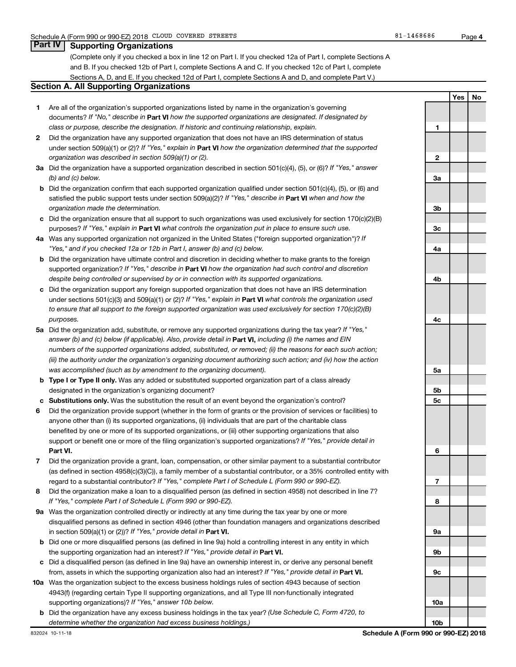### **Part IV Supporting Organizations**

(Complete only if you checked a box in line 12 on Part I. If you checked 12a of Part I, complete Sections A and B. If you checked 12b of Part I, complete Sections A and C. If you checked 12c of Part I, complete Sections A, D, and E. If you checked 12d of Part I, complete Sections A and D, and complete Part V.)

### **Section A. All Supporting Organizations**

- **1** Are all of the organization's supported organizations listed by name in the organization's governing documents? If "No," describe in Part VI how the supported organizations are designated. If designated by *class or purpose, describe the designation. If historic and continuing relationship, explain.*
- **2** Did the organization have any supported organization that does not have an IRS determination of status under section 509(a)(1) or (2)? If "Yes," explain in Part **VI** how the organization determined that the supported *organization was described in section 509(a)(1) or (2).*
- **3a** Did the organization have a supported organization described in section 501(c)(4), (5), or (6)? If "Yes," answer *(b) and (c) below.*
- **b** Did the organization confirm that each supported organization qualified under section 501(c)(4), (5), or (6) and satisfied the public support tests under section 509(a)(2)? If "Yes," describe in Part VI when and how the *organization made the determination.*
- **c** Did the organization ensure that all support to such organizations was used exclusively for section 170(c)(2)(B) purposes? If "Yes," explain in Part VI what controls the organization put in place to ensure such use.
- **4 a** *If* Was any supported organization not organized in the United States ("foreign supported organization")? *"Yes," and if you checked 12a or 12b in Part I, answer (b) and (c) below.*
- **b** Did the organization have ultimate control and discretion in deciding whether to make grants to the foreign supported organization? If "Yes," describe in Part VI how the organization had such control and discretion *despite being controlled or supervised by or in connection with its supported organizations.*
- **c** Did the organization support any foreign supported organization that does not have an IRS determination under sections 501(c)(3) and 509(a)(1) or (2)? If "Yes," explain in Part VI what controls the organization used *to ensure that all support to the foreign supported organization was used exclusively for section 170(c)(2)(B) purposes.*
- **5a** Did the organization add, substitute, or remove any supported organizations during the tax year? If "Yes," answer (b) and (c) below (if applicable). Also, provide detail in **Part VI,** including (i) the names and EIN *numbers of the supported organizations added, substituted, or removed; (ii) the reasons for each such action; (iii) the authority under the organization's organizing document authorizing such action; and (iv) how the action was accomplished (such as by amendment to the organizing document).*
- **b** Type I or Type II only. Was any added or substituted supported organization part of a class already designated in the organization's organizing document?
- **c Substitutions only.**  Was the substitution the result of an event beyond the organization's control?
- **6** Did the organization provide support (whether in the form of grants or the provision of services or facilities) to **Part VI.** support or benefit one or more of the filing organization's supported organizations? If "Yes," provide detail in anyone other than (i) its supported organizations, (ii) individuals that are part of the charitable class benefited by one or more of its supported organizations, or (iii) other supporting organizations that also
- **7** Did the organization provide a grant, loan, compensation, or other similar payment to a substantial contributor regard to a substantial contributor? If "Yes," complete Part I of Schedule L (Form 990 or 990-EZ). (as defined in section 4958(c)(3)(C)), a family member of a substantial contributor, or a 35% controlled entity with
- **8** Did the organization make a loan to a disqualified person (as defined in section 4958) not described in line 7? *If "Yes," complete Part I of Schedule L (Form 990 or 990-EZ).*
- **9 a** Was the organization controlled directly or indirectly at any time during the tax year by one or more in section 509(a)(1) or (2))? If "Yes," provide detail in **Part VI.** disqualified persons as defined in section 4946 (other than foundation managers and organizations described
- **b** Did one or more disqualified persons (as defined in line 9a) hold a controlling interest in any entity in which the supporting organization had an interest? If "Yes," provide detail in Part VI.
- **c** Did a disqualified person (as defined in line 9a) have an ownership interest in, or derive any personal benefit from, assets in which the supporting organization also had an interest? If "Yes," provide detail in Part VI.
- **10 a** Was the organization subject to the excess business holdings rules of section 4943 because of section supporting organizations)? If "Yes," answer 10b below. 4943(f) (regarding certain Type II supporting organizations, and all Type III non-functionally integrated
	- **b** Did the organization have any excess business holdings in the tax year? (Use Schedule C, Form 4720, to *determine whether the organization had excess business holdings.)*

**Yes No 1 2 3a 3b 3c 4a 4b 4c 5a 5b 5c 6 7 8 9a 9b 9c 10a**

**10b**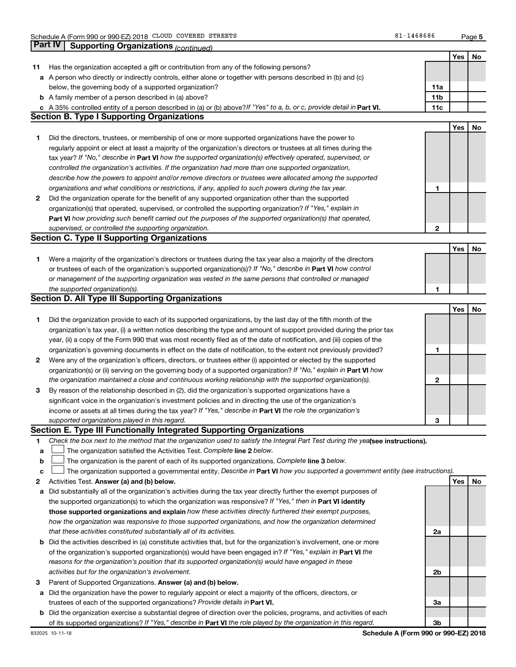|              |                                                                                                                                                                                                                                                   |                 | Yes        | No |
|--------------|---------------------------------------------------------------------------------------------------------------------------------------------------------------------------------------------------------------------------------------------------|-----------------|------------|----|
| 11           | Has the organization accepted a gift or contribution from any of the following persons?                                                                                                                                                           |                 |            |    |
|              | a A person who directly or indirectly controls, either alone or together with persons described in (b) and (c)                                                                                                                                    |                 |            |    |
|              | below, the governing body of a supported organization?                                                                                                                                                                                            | 11a             |            |    |
|              | <b>b</b> A family member of a person described in (a) above?                                                                                                                                                                                      | 11 <sub>b</sub> |            |    |
|              | c A 35% controlled entity of a person described in (a) or (b) above? If "Yes" to a, b, or c, provide detail in Part VI.<br><b>Section B. Type I Supporting Organizations</b>                                                                      | 11c             |            |    |
|              |                                                                                                                                                                                                                                                   |                 |            |    |
|              |                                                                                                                                                                                                                                                   |                 | Yes        | No |
| 1.           | Did the directors, trustees, or membership of one or more supported organizations have the power to                                                                                                                                               |                 |            |    |
|              | regularly appoint or elect at least a majority of the organization's directors or trustees at all times during the                                                                                                                                |                 |            |    |
|              | tax year? If "No," describe in Part VI how the supported organization(s) effectively operated, supervised, or                                                                                                                                     |                 |            |    |
|              | controlled the organization's activities. If the organization had more than one supported organization,                                                                                                                                           |                 |            |    |
|              | describe how the powers to appoint and/or remove directors or trustees were allocated among the supported                                                                                                                                         |                 |            |    |
|              | organizations and what conditions or restrictions, if any, applied to such powers during the tax year.                                                                                                                                            | 1               |            |    |
| $\mathbf{2}$ | Did the organization operate for the benefit of any supported organization other than the supported                                                                                                                                               |                 |            |    |
|              | organization(s) that operated, supervised, or controlled the supporting organization? If "Yes," explain in                                                                                                                                        |                 |            |    |
|              | Part VI how providing such benefit carried out the purposes of the supported organization(s) that operated,                                                                                                                                       |                 |            |    |
|              | supervised, or controlled the supporting organization.                                                                                                                                                                                            | $\mathbf{2}$    |            |    |
|              | <b>Section C. Type II Supporting Organizations</b>                                                                                                                                                                                                |                 |            |    |
|              |                                                                                                                                                                                                                                                   |                 | Yes        | No |
| 1.           | Were a majority of the organization's directors or trustees during the tax year also a majority of the directors                                                                                                                                  |                 |            |    |
|              | or trustees of each of the organization's supported organization(s)? If "No," describe in Part VI how control                                                                                                                                     |                 |            |    |
|              | or management of the supporting organization was vested in the same persons that controlled or managed                                                                                                                                            |                 |            |    |
|              | the supported organization(s).                                                                                                                                                                                                                    | 1               |            |    |
|              | <b>Section D. All Type III Supporting Organizations</b>                                                                                                                                                                                           |                 |            |    |
|              |                                                                                                                                                                                                                                                   |                 | <b>Yes</b> | No |
| 1.           | Did the organization provide to each of its supported organizations, by the last day of the fifth month of the                                                                                                                                    |                 |            |    |
|              | organization's tax year, (i) a written notice describing the type and amount of support provided during the prior tax                                                                                                                             |                 |            |    |
|              | year, (ii) a copy of the Form 990 that was most recently filed as of the date of notification, and (iii) copies of the                                                                                                                            |                 |            |    |
|              | organization's governing documents in effect on the date of notification, to the extent not previously provided?                                                                                                                                  | 1               |            |    |
| 2            | Were any of the organization's officers, directors, or trustees either (i) appointed or elected by the supported                                                                                                                                  |                 |            |    |
|              | organization(s) or (ii) serving on the governing body of a supported organization? If "No," explain in <b>Part VI</b> how                                                                                                                         |                 |            |    |
|              | the organization maintained a close and continuous working relationship with the supported organization(s).                                                                                                                                       | 2               |            |    |
| 3            | By reason of the relationship described in (2), did the organization's supported organizations have a                                                                                                                                             |                 |            |    |
|              | significant voice in the organization's investment policies and in directing the use of the organization's                                                                                                                                        |                 |            |    |
|              | income or assets at all times during the tax year? If "Yes," describe in Part VI the role the organization's                                                                                                                                      |                 |            |    |
|              | supported organizations played in this regard.                                                                                                                                                                                                    | З               |            |    |
|              | Section E. Type III Functionally Integrated Supporting Organizations                                                                                                                                                                              |                 |            |    |
| 1            | Check the box next to the method that the organization used to satisfy the Integral Part Test during the yealsee instructions).                                                                                                                   |                 |            |    |
| а            | The organization satisfied the Activities Test. Complete line 2 below.                                                                                                                                                                            |                 |            |    |
| b            | The organization is the parent of each of its supported organizations. Complete line 3 below.                                                                                                                                                     |                 |            |    |
| с            | The organization supported a governmental entity. Describe in Part VI how you supported a government entity (see instructions).                                                                                                                   |                 |            |    |
| 2            | Activities Test. Answer (a) and (b) below.                                                                                                                                                                                                        |                 | Yes        | No |
| а            | Did substantially all of the organization's activities during the tax year directly further the exempt purposes of                                                                                                                                |                 |            |    |
|              | the supported organization(s) to which the organization was responsive? If "Yes," then in Part VI identify                                                                                                                                        |                 |            |    |
|              | those supported organizations and explain how these activities directly furthered their exempt purposes,                                                                                                                                          |                 |            |    |
|              | how the organization was responsive to those supported organizations, and how the organization determined                                                                                                                                         |                 |            |    |
|              | that these activities constituted substantially all of its activities.                                                                                                                                                                            | 2a              |            |    |
|              | <b>b</b> Did the activities described in (a) constitute activities that, but for the organization's involvement, one or more                                                                                                                      |                 |            |    |
|              | of the organization's supported organization(s) would have been engaged in? If "Yes," explain in Part VI the                                                                                                                                      |                 |            |    |
|              | reasons for the organization's position that its supported organization(s) would have engaged in these                                                                                                                                            |                 |            |    |
|              | activities but for the organization's involvement.                                                                                                                                                                                                | 2b              |            |    |
| 3            | Parent of Supported Organizations. Answer (a) and (b) below.                                                                                                                                                                                      |                 |            |    |
|              | Did the organization have the power to regularly appoint or elect a majority of the officers, directors, or                                                                                                                                       |                 |            |    |
| а            | trustees of each of the supported organizations? Provide details in Part VI.                                                                                                                                                                      | За              |            |    |
|              |                                                                                                                                                                                                                                                   |                 |            |    |
|              | <b>b</b> Did the organization exercise a substantial degree of direction over the policies, programs, and activities of each<br>of its supported organizations? If "Yes," describe in Part VI the role played by the organization in this regard. | 3b              |            |    |
|              |                                                                                                                                                                                                                                                   |                 |            |    |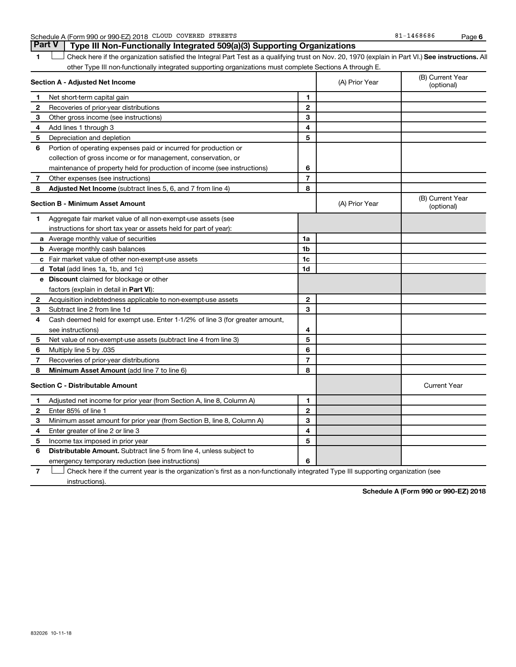Schedule A (Form 990 or 990-EZ) 2018 CLOUD COVERED STREETS SERIES AND RESOLUTE A SALE 1468686 Page

1 **Letter See instructions.** All Check here if the organization satisfied the Integral Part Test as a qualifying trust on Nov. 20, 1970 (explain in Part VI.) See instructions. All other Type III non-functionally integrated supporting organizations must complete Sections A through E. **Part V Type III Non-Functionally Integrated 509(a)(3) Supporting Organizations** 

|                                         | Section A - Adjusted Net Income                                              |                | (A) Prior Year | (B) Current Year<br>(optional) |
|-----------------------------------------|------------------------------------------------------------------------------|----------------|----------------|--------------------------------|
| 1                                       | Net short-term capital gain                                                  | 1              |                |                                |
| 2                                       | Recoveries of prior-year distributions                                       | $\mathbf{2}$   |                |                                |
| 3                                       | Other gross income (see instructions)                                        | 3              |                |                                |
| 4                                       | Add lines 1 through 3                                                        | 4              |                |                                |
| 5                                       | Depreciation and depletion                                                   | 5              |                |                                |
| 6                                       | Portion of operating expenses paid or incurred for production or             |                |                |                                |
|                                         | collection of gross income or for management, conservation, or               |                |                |                                |
|                                         | maintenance of property held for production of income (see instructions)     | 6              |                |                                |
| 7                                       | Other expenses (see instructions)                                            | $\overline{7}$ |                |                                |
| 8                                       | Adjusted Net Income (subtract lines 5, 6, and 7 from line 4)                 | 8              |                |                                |
|                                         | <b>Section B - Minimum Asset Amount</b>                                      |                | (A) Prior Year | (B) Current Year<br>(optional) |
| 1                                       | Aggregate fair market value of all non-exempt-use assets (see                |                |                |                                |
|                                         | instructions for short tax year or assets held for part of year):            |                |                |                                |
|                                         | a Average monthly value of securities                                        | 1a             |                |                                |
|                                         | <b>b</b> Average monthly cash balances                                       | 1b             |                |                                |
|                                         | c Fair market value of other non-exempt-use assets                           | 1 <sub>c</sub> |                |                                |
|                                         | d Total (add lines 1a, 1b, and 1c)                                           | 1d             |                |                                |
|                                         | <b>e</b> Discount claimed for blockage or other                              |                |                |                                |
|                                         | factors (explain in detail in <b>Part VI</b> ):                              |                |                |                                |
| 2                                       | Acquisition indebtedness applicable to non-exempt-use assets                 | $\mathbf{2}$   |                |                                |
| З                                       | Subtract line 2 from line 1d                                                 | 3              |                |                                |
| 4                                       | Cash deemed held for exempt use. Enter 1-1/2% of line 3 (for greater amount, |                |                |                                |
|                                         | see instructions)                                                            | 4              |                |                                |
| 5                                       | Net value of non-exempt-use assets (subtract line 4 from line 3)             | 5              |                |                                |
| 6                                       | Multiply line 5 by .035                                                      | 6              |                |                                |
| 7                                       | Recoveries of prior-year distributions                                       | $\overline{7}$ |                |                                |
| 8                                       | Minimum Asset Amount (add line 7 to line 6)                                  | 8              |                |                                |
| <b>Section C - Distributable Amount</b> |                                                                              |                |                | <b>Current Year</b>            |
| 1                                       | Adjusted net income for prior year (from Section A, line 8, Column A)        | 1              |                |                                |
| $\mathbf{2}$                            | Enter 85% of line 1                                                          | $\overline{2}$ |                |                                |
| 3                                       | Minimum asset amount for prior year (from Section B, line 8, Column A)       | 3              |                |                                |
| 4                                       | Enter greater of line 2 or line 3                                            | 4              |                |                                |
| 5                                       | Income tax imposed in prior year                                             | 5              |                |                                |
| 6                                       | Distributable Amount. Subtract line 5 from line 4, unless subject to         |                |                |                                |
|                                         | emergency temporary reduction (see instructions)                             | 6              |                |                                |
|                                         |                                                                              |                |                |                                |

**7** Check here if the current year is the organization's first as a non-functionally integrated Type III supporting organization (see † instructions).

**Schedule A (Form 990 or 990-EZ) 2018**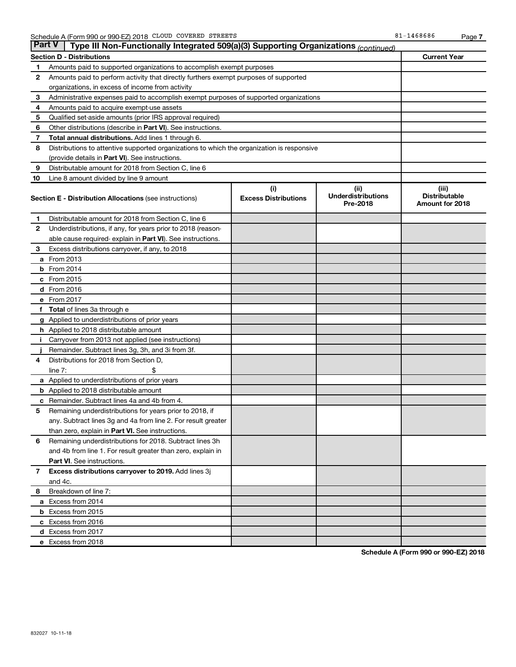| ∣ Part V     | Type III Non-Functionally Integrated 509(a)(3) Supporting Organizations (continued)                          |                                    |                                               |                                                         |  |  |  |  |  |
|--------------|--------------------------------------------------------------------------------------------------------------|------------------------------------|-----------------------------------------------|---------------------------------------------------------|--|--|--|--|--|
|              | Section D - Distributions                                                                                    |                                    |                                               | <b>Current Year</b>                                     |  |  |  |  |  |
| 1            | Amounts paid to supported organizations to accomplish exempt purposes                                        |                                    |                                               |                                                         |  |  |  |  |  |
| $\mathbf{2}$ | Amounts paid to perform activity that directly furthers exempt purposes of supported                         |                                    |                                               |                                                         |  |  |  |  |  |
|              | organizations, in excess of income from activity                                                             |                                    |                                               |                                                         |  |  |  |  |  |
| 3            | Administrative expenses paid to accomplish exempt purposes of supported organizations                        |                                    |                                               |                                                         |  |  |  |  |  |
| 4            | Amounts paid to acquire exempt-use assets                                                                    |                                    |                                               |                                                         |  |  |  |  |  |
| 5            | Qualified set-aside amounts (prior IRS approval required)                                                    |                                    |                                               |                                                         |  |  |  |  |  |
| 6            | Other distributions (describe in Part VI). See instructions.                                                 |                                    |                                               |                                                         |  |  |  |  |  |
| 7            | Total annual distributions. Add lines 1 through 6.                                                           |                                    |                                               |                                                         |  |  |  |  |  |
| 8            | Distributions to attentive supported organizations to which the organization is responsive                   |                                    |                                               |                                                         |  |  |  |  |  |
|              | (provide details in Part VI). See instructions.                                                              |                                    |                                               |                                                         |  |  |  |  |  |
| 9            | Distributable amount for 2018 from Section C, line 6                                                         |                                    |                                               |                                                         |  |  |  |  |  |
| 10           | Line 8 amount divided by line 9 amount                                                                       |                                    |                                               |                                                         |  |  |  |  |  |
|              | <b>Section E - Distribution Allocations (see instructions)</b>                                               | (i)<br><b>Excess Distributions</b> | (ii)<br><b>Underdistributions</b><br>Pre-2018 | (iii)<br><b>Distributable</b><br><b>Amount for 2018</b> |  |  |  |  |  |
| 1            | Distributable amount for 2018 from Section C, line 6                                                         |                                    |                                               |                                                         |  |  |  |  |  |
| $\mathbf{2}$ | Underdistributions, if any, for years prior to 2018 (reason-                                                 |                                    |                                               |                                                         |  |  |  |  |  |
|              | able cause required-explain in Part VI). See instructions.                                                   |                                    |                                               |                                                         |  |  |  |  |  |
| 3            | Excess distributions carryover, if any, to 2018                                                              |                                    |                                               |                                                         |  |  |  |  |  |
| a            | From 2013                                                                                                    |                                    |                                               |                                                         |  |  |  |  |  |
| b            | From 2014                                                                                                    |                                    |                                               |                                                         |  |  |  |  |  |
|              | c From 2015                                                                                                  |                                    |                                               |                                                         |  |  |  |  |  |
|              | d From 2016                                                                                                  |                                    |                                               |                                                         |  |  |  |  |  |
|              | e From 2017                                                                                                  |                                    |                                               |                                                         |  |  |  |  |  |
| f            | <b>Total</b> of lines 3a through e                                                                           |                                    |                                               |                                                         |  |  |  |  |  |
|              | <b>g</b> Applied to underdistributions of prior years                                                        |                                    |                                               |                                                         |  |  |  |  |  |
|              | h Applied to 2018 distributable amount                                                                       |                                    |                                               |                                                         |  |  |  |  |  |
|              | Carryover from 2013 not applied (see instructions)                                                           |                                    |                                               |                                                         |  |  |  |  |  |
|              | Remainder. Subtract lines 3g, 3h, and 3i from 3f.                                                            |                                    |                                               |                                                         |  |  |  |  |  |
| 4            | Distributions for 2018 from Section D,                                                                       |                                    |                                               |                                                         |  |  |  |  |  |
|              | line $7:$                                                                                                    |                                    |                                               |                                                         |  |  |  |  |  |
|              | a Applied to underdistributions of prior years                                                               |                                    |                                               |                                                         |  |  |  |  |  |
|              | <b>b</b> Applied to 2018 distributable amount                                                                |                                    |                                               |                                                         |  |  |  |  |  |
| с            | Remainder. Subtract lines 4a and 4b from 4.                                                                  |                                    |                                               |                                                         |  |  |  |  |  |
| 5            | Remaining underdistributions for years prior to 2018, if                                                     |                                    |                                               |                                                         |  |  |  |  |  |
|              | any. Subtract lines 3g and 4a from line 2. For result greater                                                |                                    |                                               |                                                         |  |  |  |  |  |
| 6            | than zero, explain in Part VI. See instructions.<br>Remaining underdistributions for 2018. Subtract lines 3h |                                    |                                               |                                                         |  |  |  |  |  |
|              | and 4b from line 1. For result greater than zero, explain in                                                 |                                    |                                               |                                                         |  |  |  |  |  |
|              | <b>Part VI.</b> See instructions.                                                                            |                                    |                                               |                                                         |  |  |  |  |  |
| $\mathbf{7}$ | Excess distributions carryover to 2019. Add lines 3j                                                         |                                    |                                               |                                                         |  |  |  |  |  |
|              | and 4c.                                                                                                      |                                    |                                               |                                                         |  |  |  |  |  |
| 8            | Breakdown of line 7:                                                                                         |                                    |                                               |                                                         |  |  |  |  |  |
|              | a Excess from 2014                                                                                           |                                    |                                               |                                                         |  |  |  |  |  |
|              | <b>b</b> Excess from 2015                                                                                    |                                    |                                               |                                                         |  |  |  |  |  |
|              | c Excess from 2016                                                                                           |                                    |                                               |                                                         |  |  |  |  |  |
|              | d Excess from 2017                                                                                           |                                    |                                               |                                                         |  |  |  |  |  |
|              | e Excess from 2018                                                                                           |                                    |                                               |                                                         |  |  |  |  |  |
|              |                                                                                                              |                                    |                                               |                                                         |  |  |  |  |  |

**Schedule A (Form 990 or 990-EZ) 2018**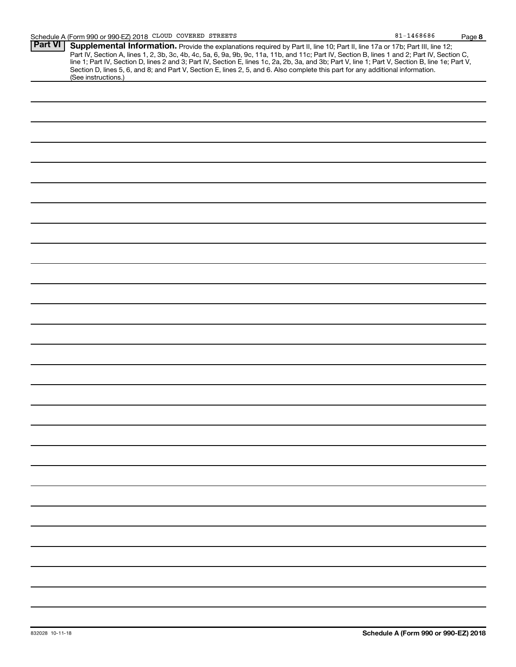| <b>Part VI</b> |                                                                                                                                                  |
|----------------|--------------------------------------------------------------------------------------------------------------------------------------------------|
|                | Supplemental Information. Provide the explanations required by Part II, line 10; Part II, line 17a or 17b; Part III, line 12;                    |
|                | Part IV, Section A, lines 1, 2, 3b, 3c, 4b, 4c, 5a, 6, 9a, 9b, 9c, 11a, 11b, and 11c; Part IV, Section B, lines 1 and 2; Part IV, Section C,     |
|                | line 1; Part IV, Section D, lines 2 and 3; Part IV, Section E, lines 1c, 2a, 2b, 3a, and 3b; Part V, line 1; Part V, Section B, line 1e; Part V, |
|                | Section D, lines 5, 6, and 8; and Part V, Section E, lines 2, 5, and 6. Also complete this part for any additional information.                  |
|                | (See instructions.)                                                                                                                              |
|                |                                                                                                                                                  |
|                |                                                                                                                                                  |
|                |                                                                                                                                                  |
|                |                                                                                                                                                  |
|                |                                                                                                                                                  |
|                |                                                                                                                                                  |
|                |                                                                                                                                                  |
|                |                                                                                                                                                  |
|                |                                                                                                                                                  |
|                |                                                                                                                                                  |
|                |                                                                                                                                                  |
|                |                                                                                                                                                  |
|                |                                                                                                                                                  |
|                |                                                                                                                                                  |
|                |                                                                                                                                                  |
|                |                                                                                                                                                  |
|                |                                                                                                                                                  |
|                |                                                                                                                                                  |
|                |                                                                                                                                                  |
|                |                                                                                                                                                  |
|                |                                                                                                                                                  |
|                |                                                                                                                                                  |
|                |                                                                                                                                                  |
|                |                                                                                                                                                  |
|                |                                                                                                                                                  |
|                |                                                                                                                                                  |
|                |                                                                                                                                                  |
|                |                                                                                                                                                  |
|                |                                                                                                                                                  |
|                |                                                                                                                                                  |
|                |                                                                                                                                                  |
|                |                                                                                                                                                  |
|                |                                                                                                                                                  |
|                |                                                                                                                                                  |
|                |                                                                                                                                                  |
|                |                                                                                                                                                  |
|                |                                                                                                                                                  |
|                |                                                                                                                                                  |
|                |                                                                                                                                                  |
|                |                                                                                                                                                  |
|                |                                                                                                                                                  |
|                |                                                                                                                                                  |
|                |                                                                                                                                                  |
|                |                                                                                                                                                  |
|                |                                                                                                                                                  |
|                |                                                                                                                                                  |
|                |                                                                                                                                                  |
|                |                                                                                                                                                  |
|                |                                                                                                                                                  |
|                |                                                                                                                                                  |
|                |                                                                                                                                                  |
|                |                                                                                                                                                  |
|                |                                                                                                                                                  |
|                |                                                                                                                                                  |
|                |                                                                                                                                                  |
|                |                                                                                                                                                  |
|                |                                                                                                                                                  |
|                |                                                                                                                                                  |
|                |                                                                                                                                                  |
|                |                                                                                                                                                  |
|                |                                                                                                                                                  |
|                |                                                                                                                                                  |
|                |                                                                                                                                                  |
|                |                                                                                                                                                  |
|                |                                                                                                                                                  |
|                |                                                                                                                                                  |
|                |                                                                                                                                                  |
|                |                                                                                                                                                  |
|                |                                                                                                                                                  |
|                |                                                                                                                                                  |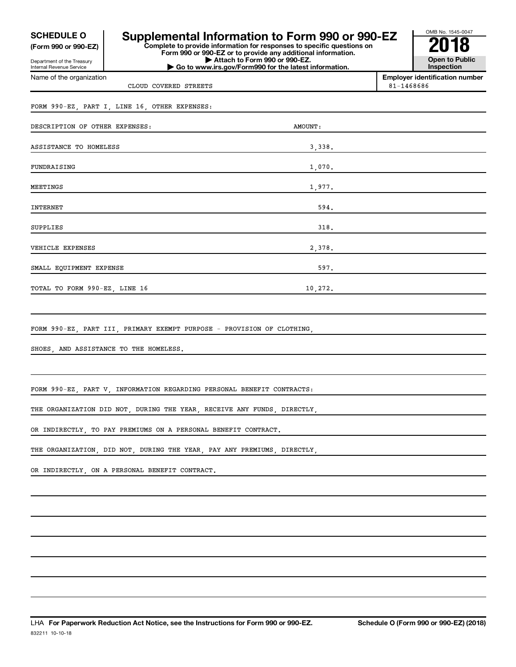**(Form 990 or 990-EZ)**

Department of the Treasury Internal Revenue Service Name of the organization

# **COMPOULE O** Supplemental Information to Form 990 or 990-EZ  $\frac{60\text{dB Na} \cdot 1545-004}{2018}$ <br>
Form 990 or 990-EZ or to provide any additional information.

**Form 990 or 990-EZ or to provide any additional information. | Attach to Form 990 or 990-EZ. | Go to www.irs.gov/Form990 for the latest information.**



**Employer identification number**

CLOUD COVERED STREETS 81-1468686

# FORM 990-EZ, PART I, LINE 16, OTHER EXPENSES:

| DESCRIPTION OF OTHER EXPENSES: | AMOUNT: |  |
|--------------------------------|---------|--|
| ASSISTANCE TO HOMELESS         | 3,338.  |  |
| FUNDRAISING                    | 1,070.  |  |
| MEETINGS                       | 1,977.  |  |
| INTERNET                       | 594.    |  |
| SUPPLIES                       | 318.    |  |
| VEHICLE EXPENSES               | 2,378.  |  |
| SMALL EQUIPMENT EXPENSE        | 597.    |  |
| TOTAL TO FORM 990-EZ, LINE 16  | 10,272. |  |

FORM 990-EZ, PART III, PRIMARY EXEMPT PURPOSE - PROVISION OF CLOTHING

SHOES, AND ASSISTANCE TO THE HOMELESS.

FORM 990-EZ, PART V, INFORMATION REGARDING PERSONAL BENEFIT CONTRACTS:

THE ORGANIZATION DID NOT, DURING THE YEAR, RECEIVE ANY FUNDS, DIRECTLY

OR INDIRECTLY, TO PAY PREMIUMS ON A PERSONAL BENEFIT CONTRACT.

THE ORGANIZATION, DID NOT, DURING THE YEAR, PAY ANY PREMIUMS, DIRECTLY,

OR INDIRECTLY, ON A PERSONAL BENEFIT CONTRACT.